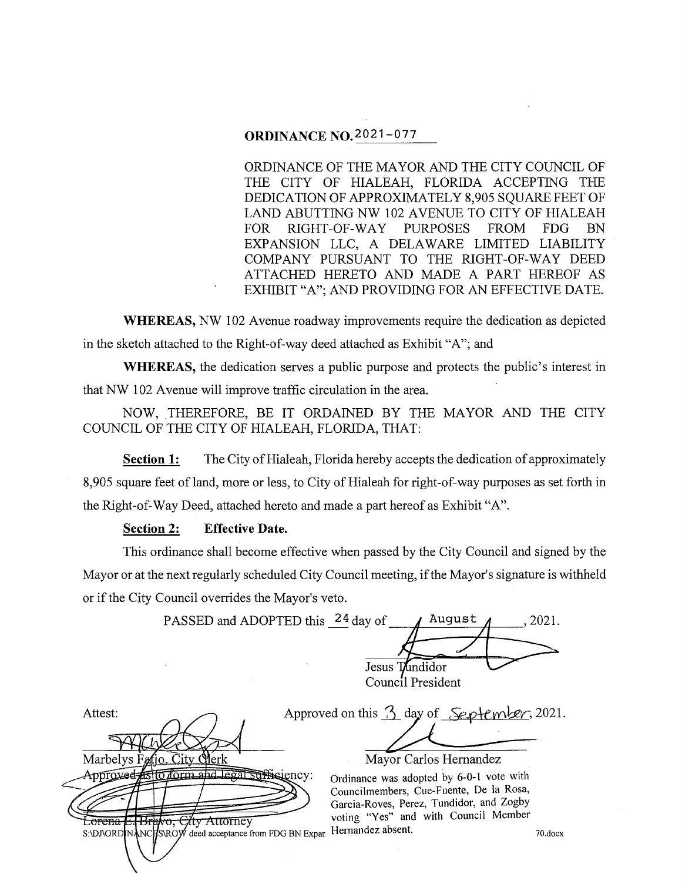# **ORDINANCE N0.2021-077**

ORDINANCE OF THE MAYOR AND THE CITY COUNCIL OF THE CITY OF HIALEAH, FLORIDA ACCEPTING THE DEDICATION OF APPROXIMATELY 8,905 SQUARE FEET OF LAND ABUTTING NW 102 A VENUE TO CITY OF HIALEAH FOR RIGHT-OF-WAY PURPOSES FROM FDG BN EXPANSION LLC, A DELAWARE LIMITED LIABILITY COMPANY PURSUANT TO THE RIGHT-OF-WAY DEED ATTACHED HERETO AND MADE A PART HEREOF AS EXHIBIT "A"; AND PROVIDING FOR AN EFFECTIVE DATE.

**WHEREAS, NW** 102 Avenue roadway improvements require the dedication as depicted in the sketch attached to the Right-of-way deed attached as Exhibit "A"; and

**WHEREAS,** the dedication serves a public purpose and protects the public's interest in that NW 102 A venue will improve traffic circulation in the area.

NOW, THEREFORE, BE IT ORDAINED BY THE MAYOR AND THE CITY COUNCIL OF THE CITY OF HIALEAH, FLORIDA, THAT:

**Section 1:** The City of Hialeah, Florida hereby accepts the dedication of approximately 8,905 square feet of land, more or less, to City of Hialeah for right-of-way purposes as set forth in the Right-of-Way Deed, attached hereto and made a part hereof as Exhibit "A".

# **Section 2: Effective Date.**

This ordinance shall become effective when passed by the City Council and signed by the Mayor or at the next regularly scheduled City Council meeting, if the Mayor's signature is withheld or if the City Council overrides the Mayor's veto.

PASSED and ADOPTED this  $24$  day of  $\blacksquare$  / August  $\blacksquare$ , 2021. Jesus Tundidor Council President

Attest: Approved on this  $\frac{3}{2}$  day of  $\frac{2021}{2}$ . Mayor Carlos Hernandez Marbelys Fatio. City C Approvee istto form and legal sufficiency: Ordinance was adopted by 6-0-1 vote with Councilmembers, Cue-Fuente, De la Rosa, Garcia-Roves, Perez, Tundidor, and Zogby<br>voting "Yes" and with Council Member **Example Brake City Attorney** voting "Yes" and with Council Member S:\DJ\ORDIN deed acceptance from FDG BN Expari Hernandez absent. The metal of the metal of the metal of the metal of the metal of the metal of the metal of the metal of the metal of the metal of the metal of the metal of the metal of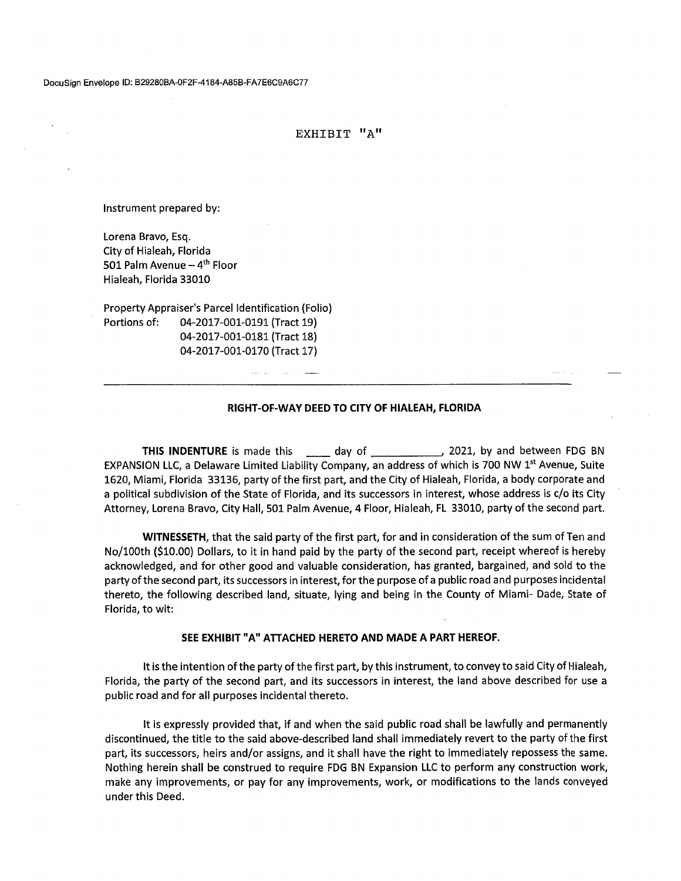## EXHIBIT "A"

Instrument prepared by:

Lorena Bravo, Esq. City of Hialeah, Florida 501 Palm Avenue  $-4$ <sup>th</sup> Floor Hialeah, Florida 33010

Property Appraiser's Parcel Identification (Folio) Portions of: 04-2017-001-0191 (Tract 19) 04-2017-001-0181 (Tract 18) 04-2017-001-0170 (Tract 17)

### **RIGHT-OF-WAY DEED TO CITY OF HIALEAH, FLORIDA**

**THIS INDENTURE** is made this \_\_\_\_\_\_ day of \_\_\_\_\_\_\_\_\_\_\_\_\_\_\_\_\_\_ 2021, by and between FDG BN EXPANSION LLC, a Delaware Limited Liability Company, an address of which is 700 NW 1<sup>st</sup> Avenue, Suite 1620, Miami, Florida 33136, party of the first part, and the City of Hialeah, Florida, a body corporate and a political subdivision of the State of Florida, and its successors in interest, whose address is c/o its City Attorney, Lorena Bravo, City Hall, 501 Palm Avenue, 4 Floor, Hialeah, FL 33010, party of the second part.

**WITNESSETH,** that the said party of the first part, for and in consideration of the sum of Ten and No/100th (\$10.00) Dollars, to it in hand paid by the party of the second part, receipt whereof is hereby acknowledged, and for other good and valuable consideration, has granted, bargained, and sold to the party of the second part, its successors in interest, for the purpose of a public road and purposes incidental thereto, the following described land, situate, lying and being in the County of Miami- Dade, State of Florida, to wit:

### **SEE EXHIBIT** "A" **ATTACHED HERETO AND MADE A PART HEREOF.**

It is the intention of the party of the first part, by this instrument, to convey to said City of Hialeah, Florida, the party of the second part, and its successors in interest, the land above described for use a public road and for all purposes incidental thereto.

It is expressly provided that, if and when the said public road shall be lawfully and permanently discontinued, the title to the said above-described land shall immediately revert to the party of the first part, its successors, heirs and/or assigns, and it shall have the right to immediately repossess the same. Nothing herein shall be construed to require FOG BN Expansion LLC to perform any construction work, make any improvements, or pay for any improvements, work, or modifications to the lands conveyed under this Deed.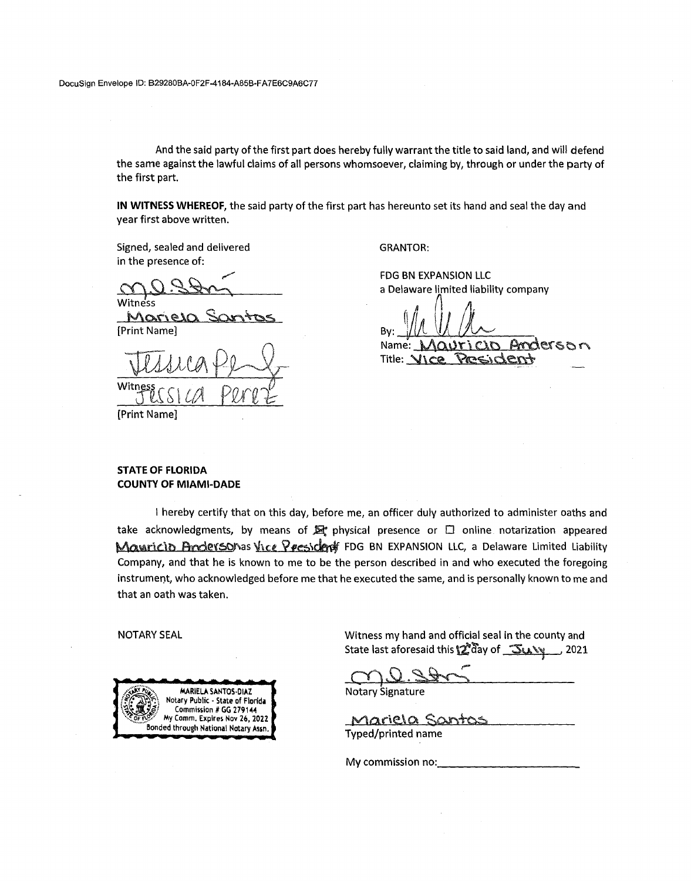And the said party of the first part does hereby fully warrant the title to said land, and will defend the same against the lawful claims of all persons whomsoever, claiming by, through or under the party of the first part.

**IN WITNESS WHEREOF,** the said party of the first part has hereunto set its hand and seal the day and year first above written.

Signed, sealed and delivered in the presence of:

,.,,. miness Stry

itness<br>Mariela Santos [Print Name]

Witness CSI CA Perez

[Print Name]

GRANTOR:

FDG BN EXPANSION LLC a Delaware limited liability company

*fA* n *(1/*  By: Name: \ *V!A*   $\alpha$ Ur $\lambda$ VI. Le moderson Title: VICe President

# **STATE OF FLORIDA COUNTY OF MIAMI-DADE**

I hereby certify that on this day, before me, an officer duly authorized to administer oaths and take acknowledgments, by means of  $\mathbb{R}^n$  physical presence or  $\Box$  online notarization appeared Mauricio Andersonas Vice President FDG BN EXPANSION LLC, a Delaware Limited Liability Company, and that he is known to me to be the person described in and who executed the foregoing instrument, who acknowledged before me that he executed the same, and is personally known to me and that an oath was taken.

NOTARY SEAL



Witness my hand and official seal in the county and State last aforesaid this \2 day of 5u. y 2021

 $CO.S.800$ 

Notary Signature

<u>Mariela Santos</u> Typed/printed name

My commission no: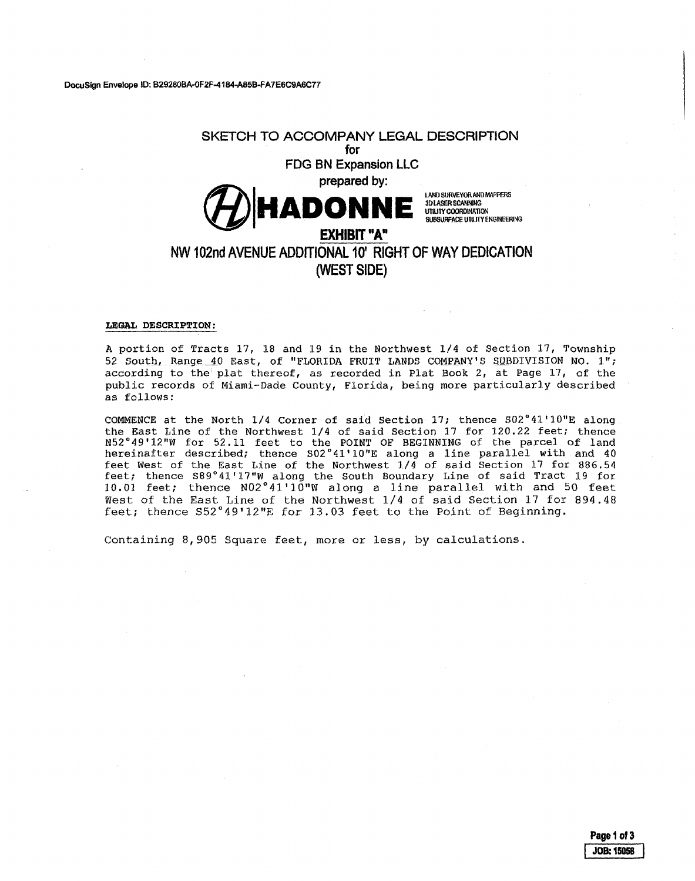# **SKETCH TO ACCOMPANY LEGAL DESCRIPTION**

# **for FOG BN Expansion LLC**

**(f/) HADOaNNE** 

LANO SURVEYOR ANO MAPPERS 30LASERSCANNING UTILITY COORDINATION SUBSURFACE UTILITY ENGINEERING

# **NW 102nd AVENUE ADDITIONAL 10' RIGHT OF WAY DEDICATION (WESTSIDE)**

**EXHIBIT" A"** 

### **LEGAL DESCRIPTION:**

A portion of Tracts 17, 18 and 19 in the Northwest 1/4 of Section 17, Township 52 South, Range 40 East, of "FLORIDA FRUIT LANDS COMPANY'S SUBDIVISION NO. 1"; according to the plat thereof, as recorded in Plat Book 2, at Page  $17$ , of the public records of Miami-Dade County, Florida, being more particularly described as follows:

COMMENCE at the North 1/4 Corner of said Section 17; thence S02°41'10"E along the East Line of the Northwest 1/4 of said Section 17 for 120.22 feet; thence N52°49'12"W for 52.11 feet to the POINT OF BEGINNING of the parcel of land hereinafter described; thence S02°41'10"E along a line parallel with and 40 feet West of the East Line of the Northwest  $1/4$  of said Section 17 for 886.54 feet; thence S89°41'17"W along the South Boundary Line of said Tract 19 for 10.01 feet; thence N02°41'10"W along a line parallel with and 50 feet West of the East Line of the Northwest 1/4 of said Section 17 for 894.48 feet; thence S52°49'12"E for 13.03 feet to the Point of Beginning.

Containing 8,905 Square feet, more or less, by calculations.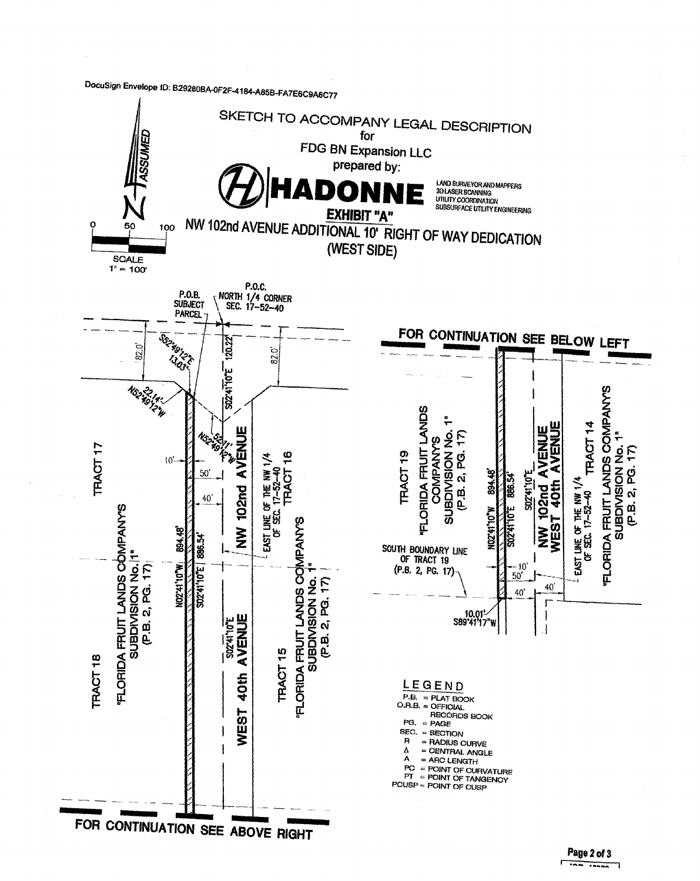DocuSign Envelope ID: B29280BA-OF2F-4184-A85B-FA7E6C9A6C77



Page 2 of 3 r and a set of the set of the set of the set of the set of the set of the set of the set of the set of the set